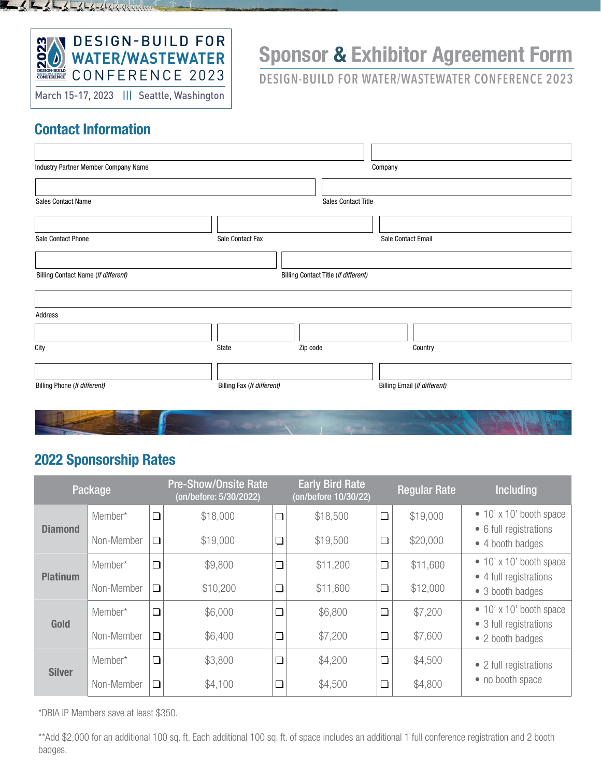

March 15-17, 2023 ||| Seattle, Washington

# Sponsor & Exhibitor Agreement Form

**DESIGN-BUILD FOR WATER/WASTEWATER CONFERENCE 2023**

#### Contact Information

 $\frac{1}{2} \int_{0}^{1} \frac{1}{2} \int_{0}^{1} \frac{1}{2} \int_{0}^{1} \frac{1}{2} \int_{0}^{1} \frac{1}{2} \int_{0}^{1} \frac{1}{2} \int_{0}^{1} \frac{1}{2} \int_{0}^{1} \frac{1}{2} \int_{0}^{1} \frac{1}{2} \int_{0}^{1} \frac{1}{2} \int_{0}^{1} \frac{1}{2} \int_{0}^{1} \frac{1}{2} \int_{0}^{1} \frac{1}{2} \int_{0}^{1} \frac{1}{2} \int_{0}^{1} \frac{1}{2} \int_{$ 

| Industry Partner Member Company Name |                            | Company                              |                              |  |  |  |  |
|--------------------------------------|----------------------------|--------------------------------------|------------------------------|--|--|--|--|
|                                      |                            |                                      |                              |  |  |  |  |
| Sales Contact Name                   |                            | <b>Sales Contact Title</b>           |                              |  |  |  |  |
|                                      |                            |                                      |                              |  |  |  |  |
| Sale Contact Phone                   | Sale Contact Fax           |                                      | Sale Contact Email           |  |  |  |  |
|                                      |                            |                                      |                              |  |  |  |  |
| Billing Contact Name (If different)  |                            | Billing Contact Title (If different) |                              |  |  |  |  |
|                                      |                            |                                      |                              |  |  |  |  |
|                                      |                            |                                      |                              |  |  |  |  |
| Address                              |                            |                                      |                              |  |  |  |  |
|                                      |                            |                                      |                              |  |  |  |  |
| City                                 | State                      | Zip code                             | Country                      |  |  |  |  |
|                                      |                            |                                      |                              |  |  |  |  |
| Billing Phone (If different)         | Billing Fax (If different) |                                      | Billing Email (If different) |  |  |  |  |
|                                      |                            |                                      |                              |  |  |  |  |
|                                      |                            |                                      |                              |  |  |  |  |

### 2022 Sponsorship Rates

| Package         |                       | <b>Pre-Show/Onsite Rate</b><br>(on/before: 5/30/2022) |                      | <b>Early Bird Rate</b><br>(on/before 10/30/22) |                      | <b>Regular Rate</b> | <b>Including</b>     |                                                                               |  |
|-----------------|-----------------------|-------------------------------------------------------|----------------------|------------------------------------------------|----------------------|---------------------|----------------------|-------------------------------------------------------------------------------|--|
| <b>Diamond</b>  | Member*<br>Non-Member | $\Box$<br>$\Box$                                      | \$18,000<br>\$19,000 | $\Box$<br>$\Box$                               | \$18,500<br>\$19,500 | $\Box$<br>$\Box$    | \$19,000<br>\$20,000 | $\bullet$ 10' x 10' booth space<br>• 6 full registrations                     |  |
| <b>Platinum</b> | Member*               | $\Box$                                                | \$9,800              | $\Box$                                         | \$11,200             | $\Box$              | \$11,600             | • 4 booth badges<br>$\bullet$ 10' x 10' booth space<br>• 4 full registrations |  |
|                 | Non-Member            | $\Box$                                                | \$10,200             | $\Box$                                         | \$11,600             | $\Box$              | \$12,000             | • 3 booth badges                                                              |  |
| <b>Gold</b>     | Member*               | $\Box$                                                | \$6,000              | $\Box$                                         | \$6,800              | $\Box$              | \$7,200              | $\bullet$ 10' x 10' booth space<br>• 3 full registrations                     |  |
|                 | Non-Member            | $\Box$                                                | \$6,400              | $\Box$                                         | \$7,200              | $\Box$              | \$7,600              | • 2 booth badges                                                              |  |
| <b>Silver</b>   | Member*               | $\Box$                                                | \$3,800              | $\Box$                                         | \$4,200              | $\Box$              | \$4,500              | • 2 full registrations                                                        |  |
|                 | Non-Member            | $\Box$                                                | \$4,100              | $\Box$                                         | \$4,500              | $\Box$              | \$4,800              | • no booth space                                                              |  |

\*DBIA IP Members save at least \$350.

\*\*Add \$2,000 for an additional 100 sq. ft. Each additional 100 sq. ft. of space includes an additional 1 full conference registration and 2 booth badges.